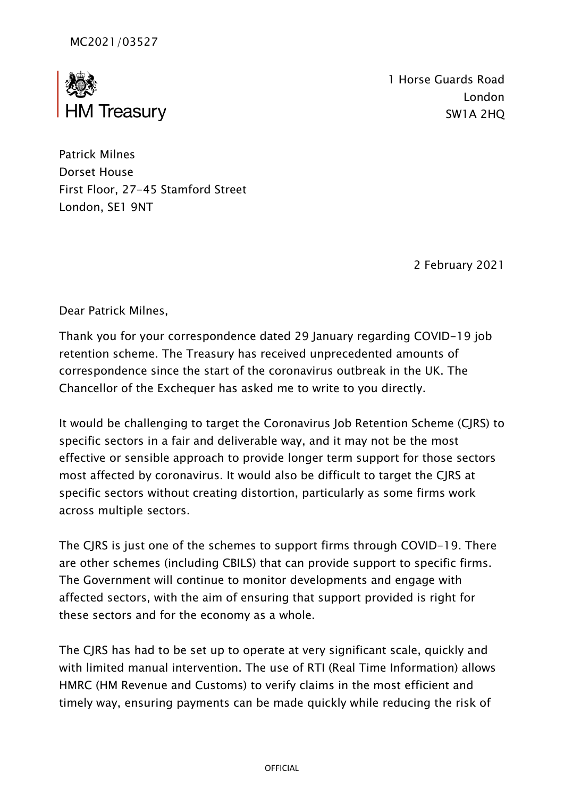

1 Horse Guards Road London SW1A 2HQ

Patrick Milnes Dorset House First Floor, 27-45 Stamford Street London, SE1 9NT

2 February 2021

Dear Patrick Milnes,

Thank you for your correspondence dated 29 January regarding COVID-19 job retention scheme. The Treasury has received unprecedented amounts of correspondence since the start of the coronavirus outbreak in the UK. The Chancellor of the Exchequer has asked me to write to you directly.

It would be challenging to target the Coronavirus Job Retention Scheme (CJRS) to specific sectors in a fair and deliverable way, and it may not be the most effective or sensible approach to provide longer term support for those sectors most affected by coronavirus. It would also be difficult to target the CJRS at specific sectors without creating distortion, particularly as some firms work across multiple sectors.

The CJRS is just one of the schemes to support firms through COVID-19. There are other schemes (including CBILS) that can provide support to specific firms. The Government will continue to monitor developments and engage with affected sectors, with the aim of ensuring that support provided is right for these sectors and for the economy as a whole.

The CJRS has had to be set up to operate at very significant scale, quickly and with limited manual intervention. The use of RTI (Real Time Information) allows HMRC (HM Revenue and Customs) to verify claims in the most efficient and timely way, ensuring payments can be made quickly while reducing the risk of